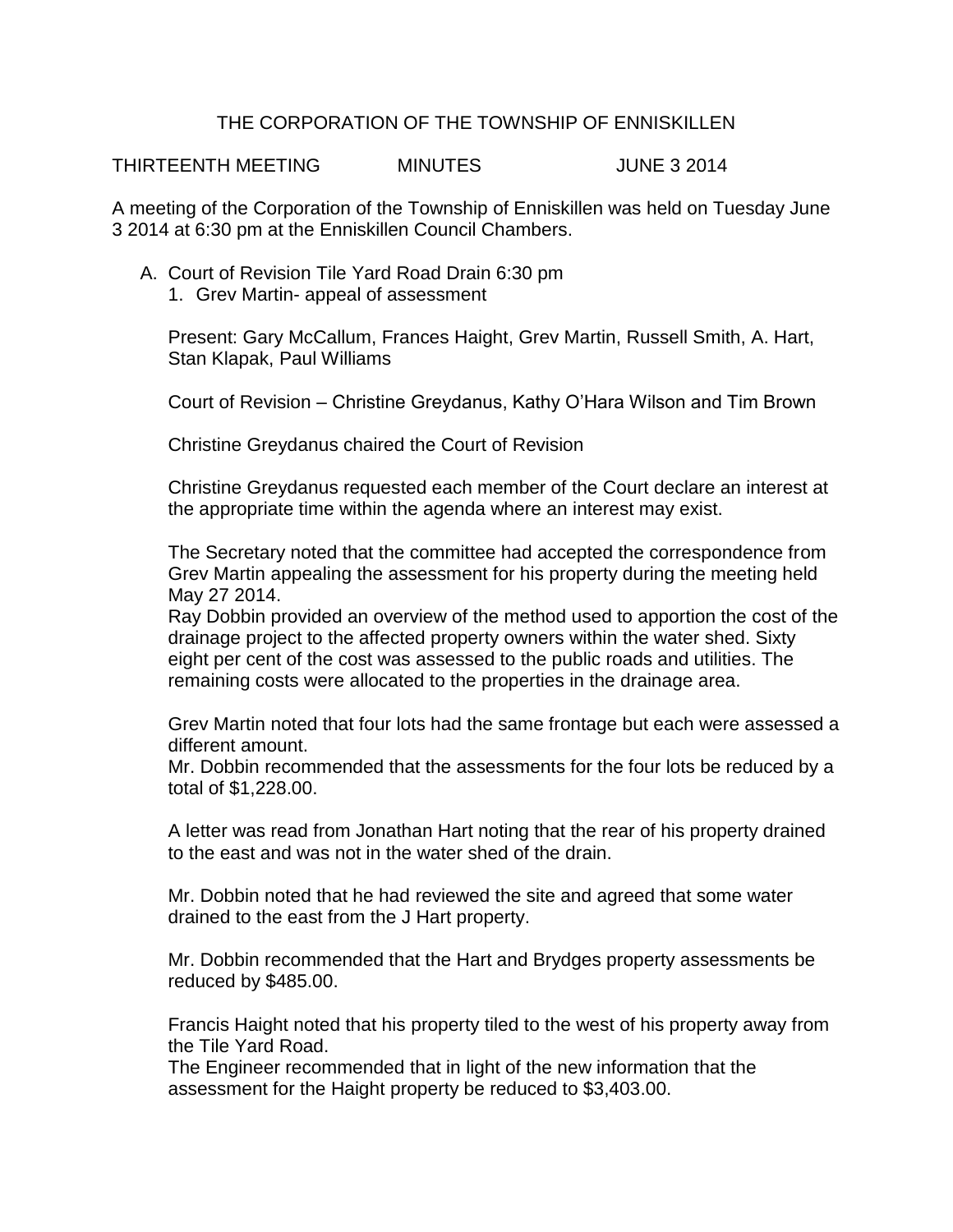## THE CORPORATION OF THE TOWNSHIP OF ENNISKILLEN

THIRTEENTH MEETING MINUTES JUNE 3 2014

A meeting of the Corporation of the Township of Enniskillen was held on Tuesday June 3 2014 at 6:30 pm at the Enniskillen Council Chambers.

- A. Court of Revision Tile Yard Road Drain 6:30 pm
	- 1. Grev Martin- appeal of assessment

Present: Gary McCallum, Frances Haight, Grev Martin, Russell Smith, A. Hart, Stan Klapak, Paul Williams

Court of Revision – Christine Greydanus, Kathy O'Hara Wilson and Tim Brown

Christine Greydanus chaired the Court of Revision

Christine Greydanus requested each member of the Court declare an interest at the appropriate time within the agenda where an interest may exist.

The Secretary noted that the committee had accepted the correspondence from Grev Martin appealing the assessment for his property during the meeting held May 27 2014.

Ray Dobbin provided an overview of the method used to apportion the cost of the drainage project to the affected property owners within the water shed. Sixty eight per cent of the cost was assessed to the public roads and utilities. The remaining costs were allocated to the properties in the drainage area.

Grev Martin noted that four lots had the same frontage but each were assessed a different amount.

Mr. Dobbin recommended that the assessments for the four lots be reduced by a total of \$1,228.00.

A letter was read from Jonathan Hart noting that the rear of his property drained to the east and was not in the water shed of the drain.

Mr. Dobbin noted that he had reviewed the site and agreed that some water drained to the east from the J Hart property.

Mr. Dobbin recommended that the Hart and Brydges property assessments be reduced by \$485.00.

Francis Haight noted that his property tiled to the west of his property away from the Tile Yard Road.

The Engineer recommended that in light of the new information that the assessment for the Haight property be reduced to \$3,403.00.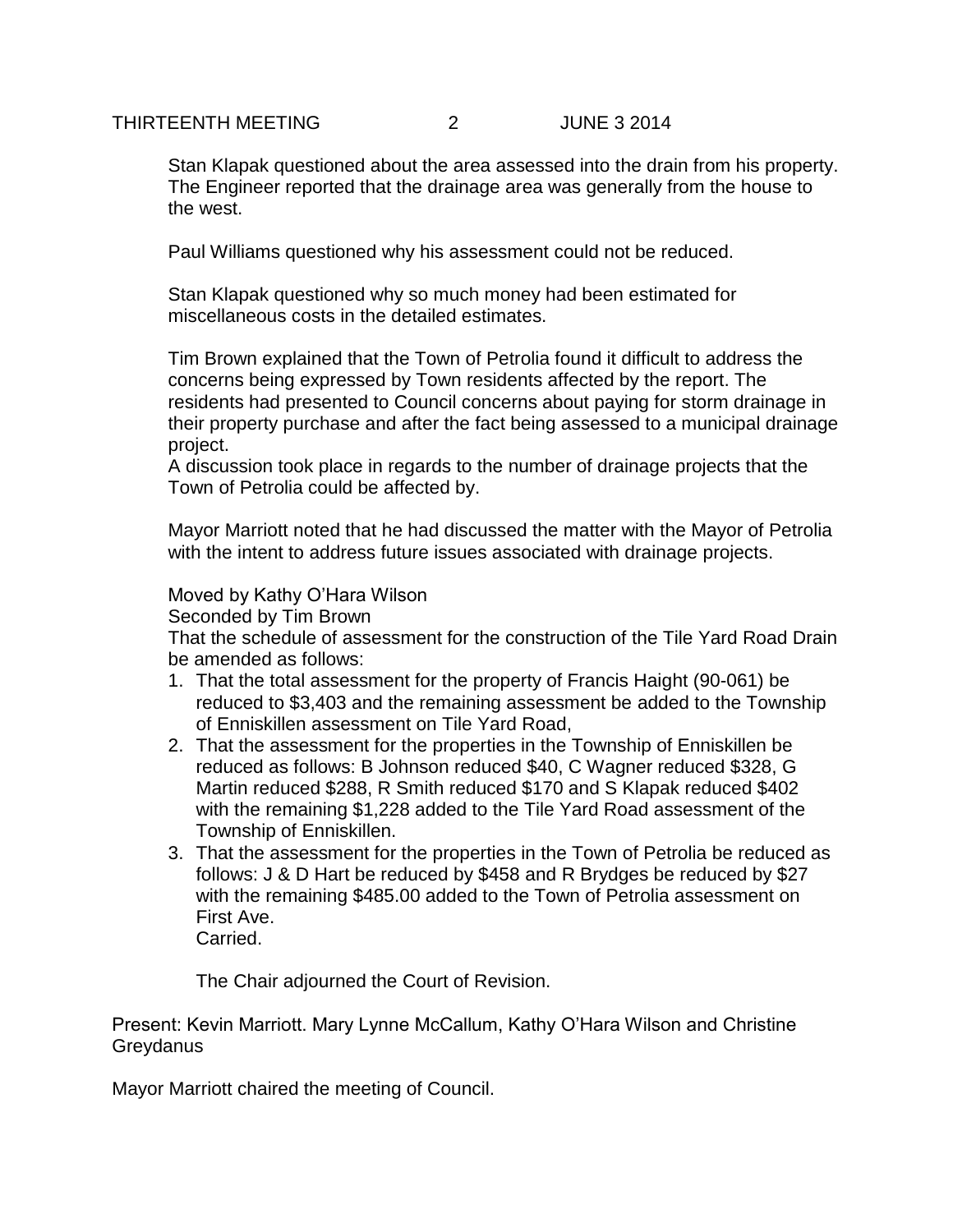## THIRTEENTH MEETING 2 JUNE 3 2014

Stan Klapak questioned about the area assessed into the drain from his property. The Engineer reported that the drainage area was generally from the house to the west.

Paul Williams questioned why his assessment could not be reduced.

Stan Klapak questioned why so much money had been estimated for miscellaneous costs in the detailed estimates.

Tim Brown explained that the Town of Petrolia found it difficult to address the concerns being expressed by Town residents affected by the report. The residents had presented to Council concerns about paying for storm drainage in their property purchase and after the fact being assessed to a municipal drainage project.

A discussion took place in regards to the number of drainage projects that the Town of Petrolia could be affected by.

Mayor Marriott noted that he had discussed the matter with the Mayor of Petrolia with the intent to address future issues associated with drainage projects.

## Moved by Kathy O'Hara Wilson

Seconded by Tim Brown

That the schedule of assessment for the construction of the Tile Yard Road Drain be amended as follows:

- 1. That the total assessment for the property of Francis Haight (90-061) be reduced to \$3,403 and the remaining assessment be added to the Township of Enniskillen assessment on Tile Yard Road,
- 2. That the assessment for the properties in the Township of Enniskillen be reduced as follows: B Johnson reduced \$40, C Wagner reduced \$328, G Martin reduced \$288, R Smith reduced \$170 and S Klapak reduced \$402 with the remaining \$1,228 added to the Tile Yard Road assessment of the Township of Enniskillen.
- 3. That the assessment for the properties in the Town of Petrolia be reduced as follows: J & D Hart be reduced by \$458 and R Brydges be reduced by \$27 with the remaining \$485.00 added to the Town of Petrolia assessment on First Ave.

Carried.

The Chair adjourned the Court of Revision.

Present: Kevin Marriott. Mary Lynne McCallum, Kathy O'Hara Wilson and Christine **Greydanus** 

Mayor Marriott chaired the meeting of Council.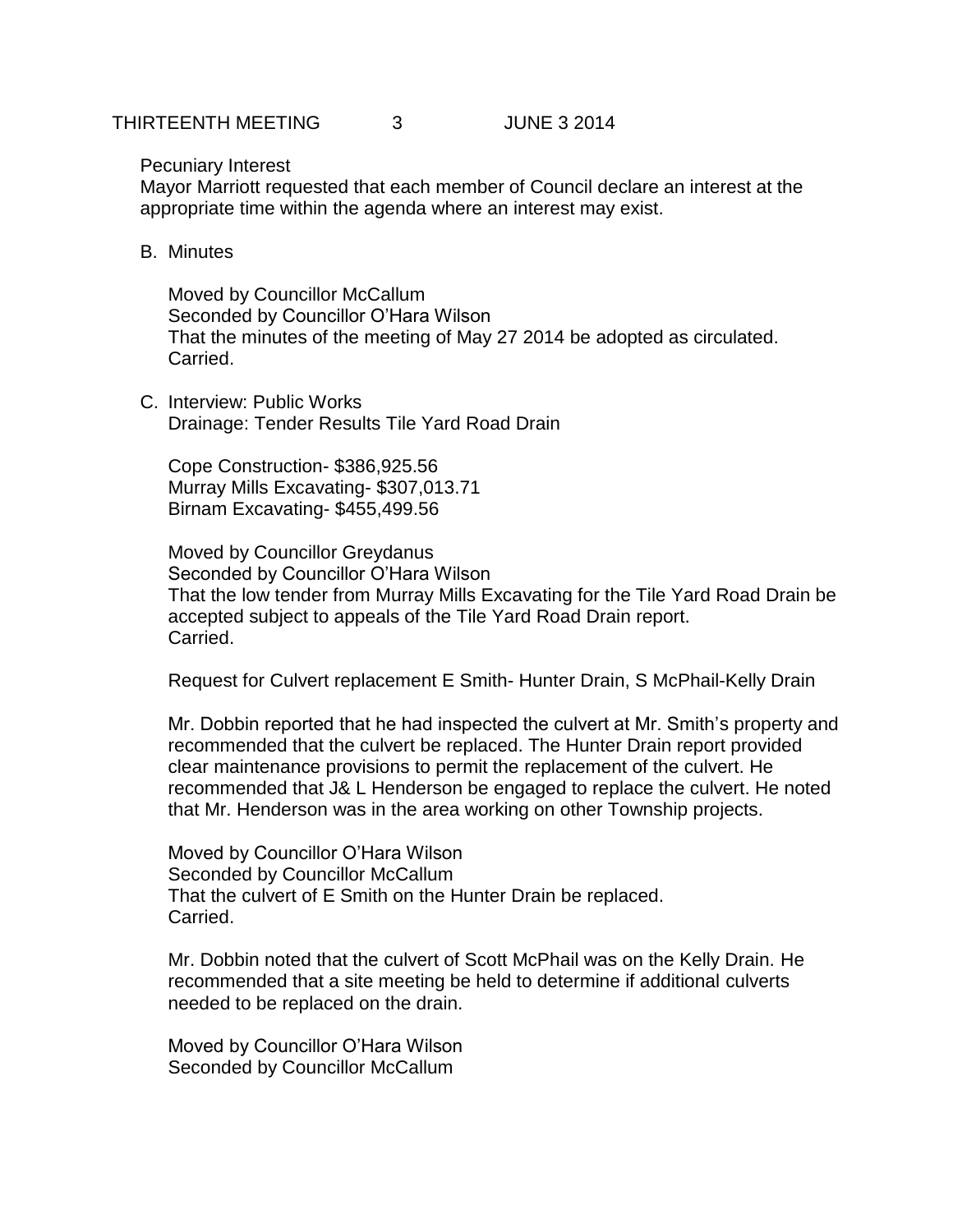Pecuniary Interest

Mayor Marriott requested that each member of Council declare an interest at the appropriate time within the agenda where an interest may exist.

B. Minutes

Moved by Councillor McCallum Seconded by Councillor O'Hara Wilson That the minutes of the meeting of May 27 2014 be adopted as circulated. Carried.

C. Interview: Public Works Drainage: Tender Results Tile Yard Road Drain

Cope Construction- \$386,925.56 Murray Mills Excavating- \$307,013.71 Birnam Excavating- \$455,499.56

Moved by Councillor Greydanus Seconded by Councillor O'Hara Wilson That the low tender from Murray Mills Excavating for the Tile Yard Road Drain be accepted subject to appeals of the Tile Yard Road Drain report. Carried.

Request for Culvert replacement E Smith- Hunter Drain, S McPhail-Kelly Drain

Mr. Dobbin reported that he had inspected the culvert at Mr. Smith's property and recommended that the culvert be replaced. The Hunter Drain report provided clear maintenance provisions to permit the replacement of the culvert. He recommended that J& L Henderson be engaged to replace the culvert. He noted that Mr. Henderson was in the area working on other Township projects.

Moved by Councillor O'Hara Wilson Seconded by Councillor McCallum That the culvert of E Smith on the Hunter Drain be replaced. Carried.

Mr. Dobbin noted that the culvert of Scott McPhail was on the Kelly Drain. He recommended that a site meeting be held to determine if additional culverts needed to be replaced on the drain.

Moved by Councillor O'Hara Wilson Seconded by Councillor McCallum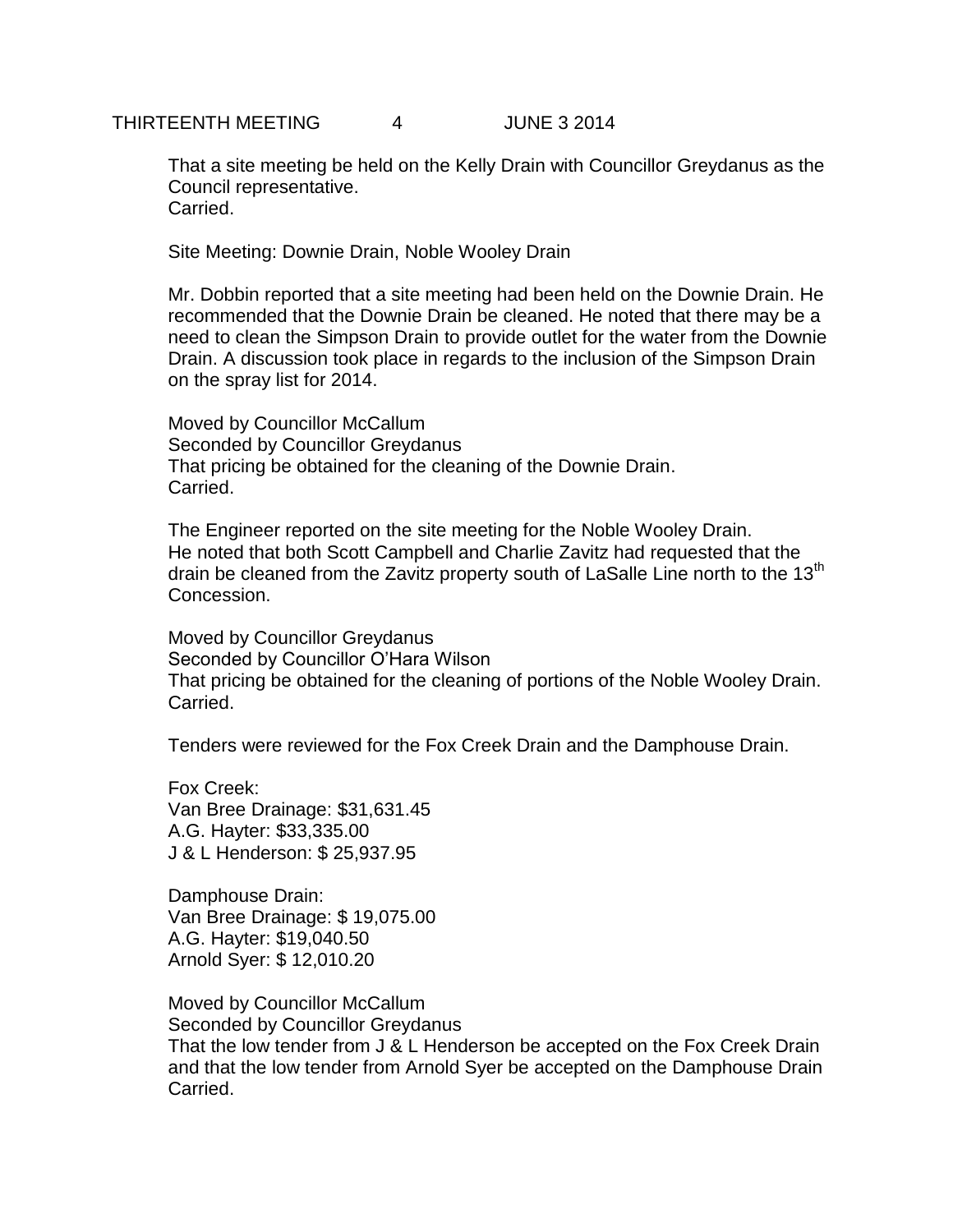That a site meeting be held on the Kelly Drain with Councillor Greydanus as the Council representative. Carried.

Site Meeting: Downie Drain, Noble Wooley Drain

Mr. Dobbin reported that a site meeting had been held on the Downie Drain. He recommended that the Downie Drain be cleaned. He noted that there may be a need to clean the Simpson Drain to provide outlet for the water from the Downie Drain. A discussion took place in regards to the inclusion of the Simpson Drain on the spray list for 2014.

Moved by Councillor McCallum Seconded by Councillor Greydanus That pricing be obtained for the cleaning of the Downie Drain. Carried.

The Engineer reported on the site meeting for the Noble Wooley Drain. He noted that both Scott Campbell and Charlie Zavitz had requested that the drain be cleaned from the Zavitz property south of LaSalle Line north to the 13<sup>th</sup> Concession.

Moved by Councillor Greydanus Seconded by Councillor O'Hara Wilson That pricing be obtained for the cleaning of portions of the Noble Wooley Drain. Carried.

Tenders were reviewed for the Fox Creek Drain and the Damphouse Drain.

Fox Creek: Van Bree Drainage: \$31,631.45 A.G. Hayter: \$33,335.00 J & L Henderson: \$ 25,937.95

Damphouse Drain: Van Bree Drainage: \$ 19,075.00 A.G. Hayter: \$19,040.50 Arnold Syer: \$ 12,010.20

Moved by Councillor McCallum Seconded by Councillor Greydanus That the low tender from J & L Henderson be accepted on the Fox Creek Drain and that the low tender from Arnold Syer be accepted on the Damphouse Drain Carried.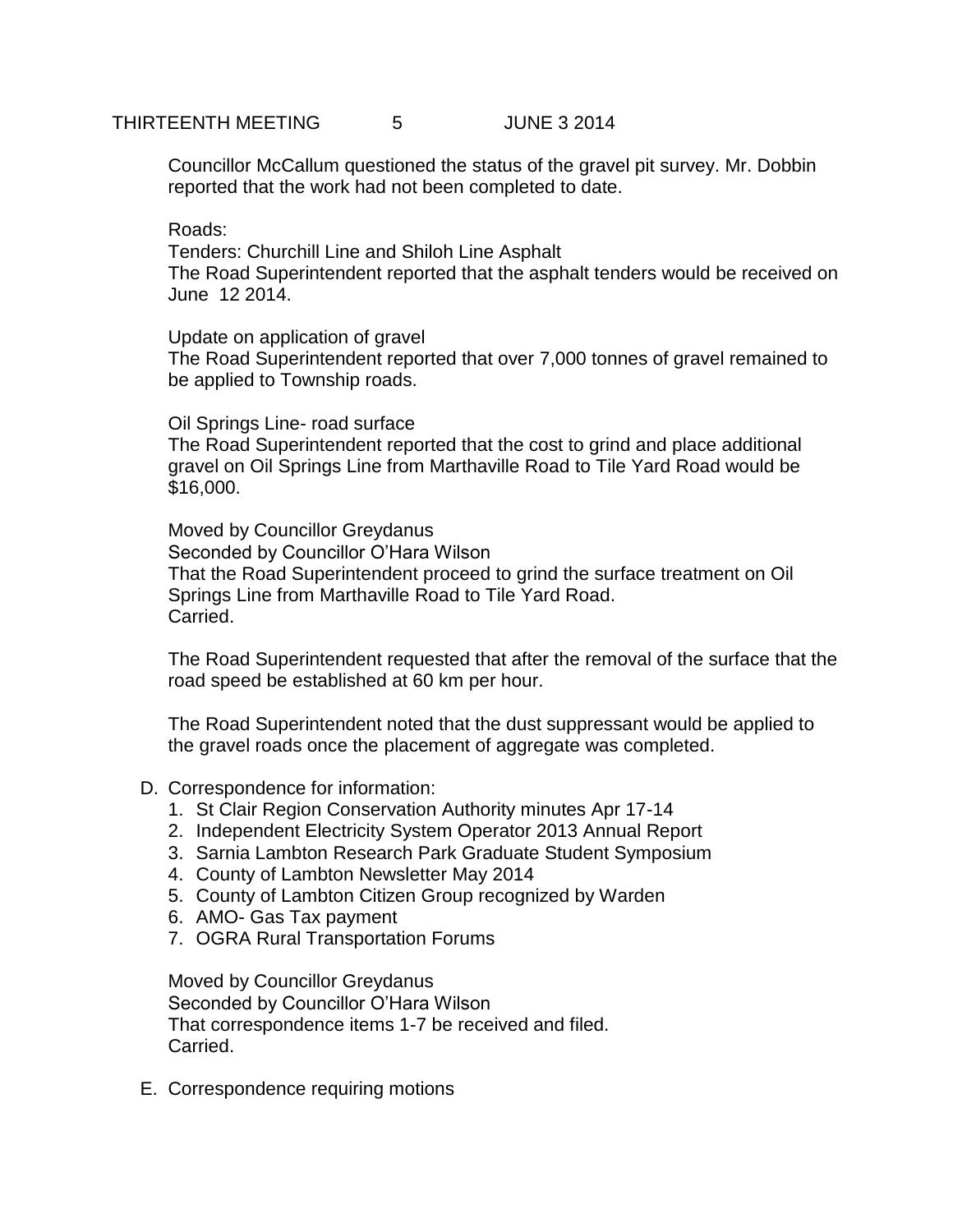Councillor McCallum questioned the status of the gravel pit survey. Mr. Dobbin reported that the work had not been completed to date.

Roads:

Tenders: Churchill Line and Shiloh Line Asphalt The Road Superintendent reported that the asphalt tenders would be received on June 12 2014.

Update on application of gravel

The Road Superintendent reported that over 7,000 tonnes of gravel remained to be applied to Township roads.

Oil Springs Line- road surface

The Road Superintendent reported that the cost to grind and place additional gravel on Oil Springs Line from Marthaville Road to Tile Yard Road would be \$16,000.

Moved by Councillor Greydanus Seconded by Councillor O'Hara Wilson That the Road Superintendent proceed to grind the surface treatment on Oil Springs Line from Marthaville Road to Tile Yard Road. Carried.

The Road Superintendent requested that after the removal of the surface that the road speed be established at 60 km per hour.

The Road Superintendent noted that the dust suppressant would be applied to the gravel roads once the placement of aggregate was completed.

## D. Correspondence for information:

- 1. St Clair Region Conservation Authority minutes Apr 17-14
- 2. Independent Electricity System Operator 2013 Annual Report
- 3. Sarnia Lambton Research Park Graduate Student Symposium
- 4. County of Lambton Newsletter May 2014
- 5. County of Lambton Citizen Group recognized by Warden
- 6. AMO- Gas Tax payment
- 7. OGRA Rural Transportation Forums

Moved by Councillor Greydanus Seconded by Councillor O'Hara Wilson That correspondence items 1-7 be received and filed. Carried.

E. Correspondence requiring motions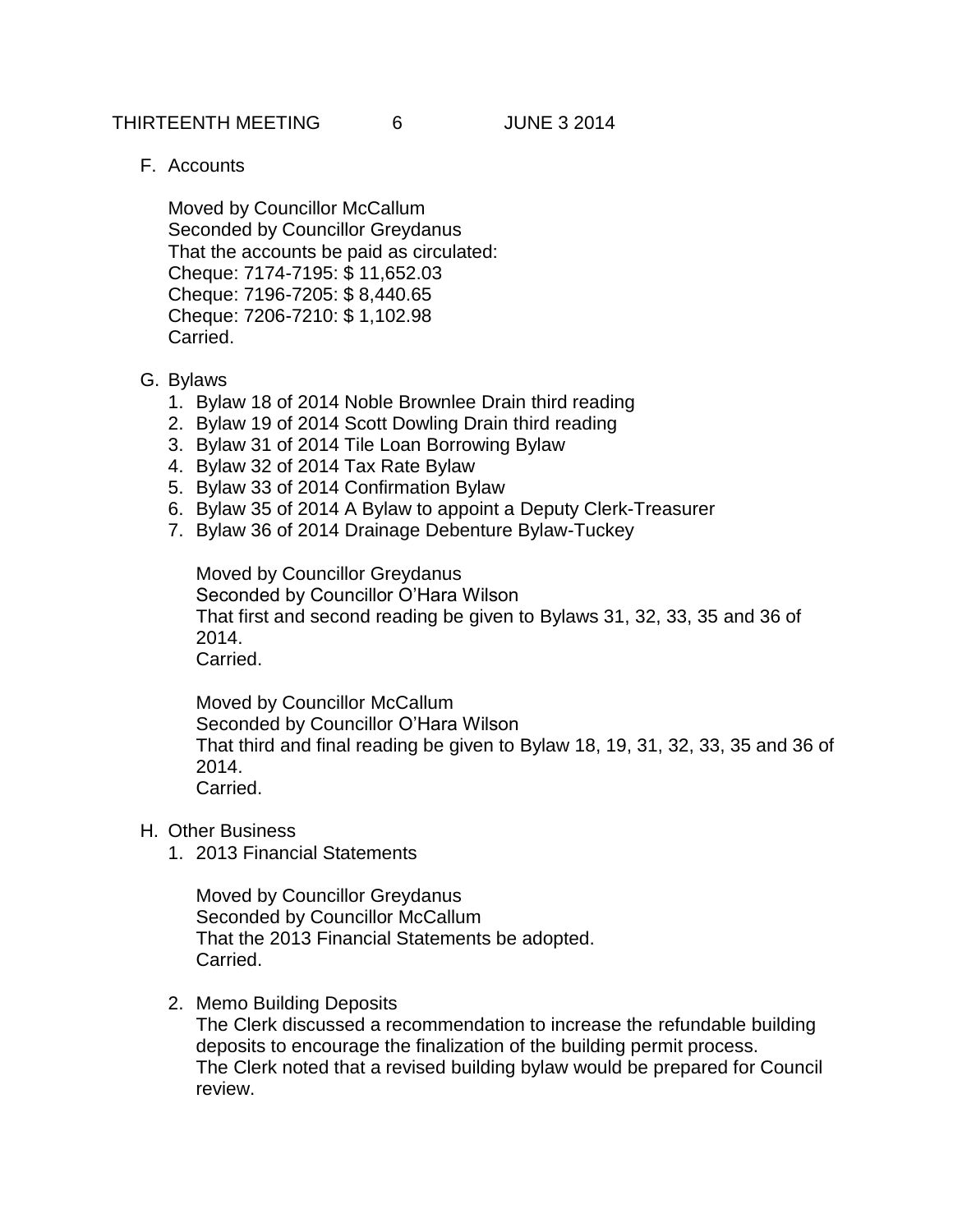THIRTEENTH MEETING 6 JUNE 3 2014

F. Accounts

Moved by Councillor McCallum Seconded by Councillor Greydanus That the accounts be paid as circulated: Cheque: 7174-7195: \$ 11,652.03 Cheque: 7196-7205: \$ 8,440.65 Cheque: 7206-7210: \$ 1,102.98 Carried.

- G. Bylaws
	- 1. Bylaw 18 of 2014 Noble Brownlee Drain third reading
	- 2. Bylaw 19 of 2014 Scott Dowling Drain third reading
	- 3. Bylaw 31 of 2014 Tile Loan Borrowing Bylaw
	- 4. Bylaw 32 of 2014 Tax Rate Bylaw
	- 5. Bylaw 33 of 2014 Confirmation Bylaw
	- 6. Bylaw 35 of 2014 A Bylaw to appoint a Deputy Clerk-Treasurer
	- 7. Bylaw 36 of 2014 Drainage Debenture Bylaw-Tuckey

Moved by Councillor Greydanus Seconded by Councillor O'Hara Wilson That first and second reading be given to Bylaws 31, 32, 33, 35 and 36 of 2014. Carried.

Moved by Councillor McCallum Seconded by Councillor O'Hara Wilson That third and final reading be given to Bylaw 18, 19, 31, 32, 33, 35 and 36 of 2014. Carried.

- H. Other Business
	- 1. 2013 Financial Statements

Moved by Councillor Greydanus Seconded by Councillor McCallum That the 2013 Financial Statements be adopted. Carried.

2. Memo Building Deposits

The Clerk discussed a recommendation to increase the refundable building deposits to encourage the finalization of the building permit process. The Clerk noted that a revised building bylaw would be prepared for Council review.